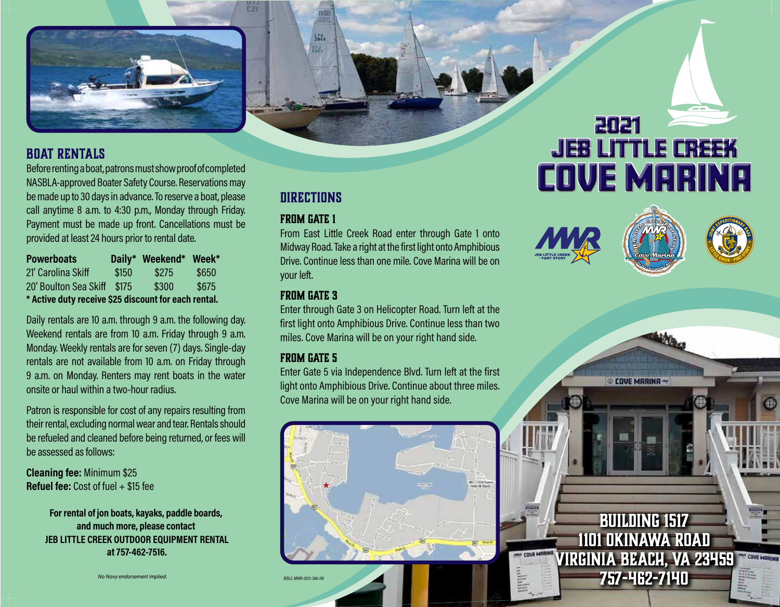

# **Boat Rentals**

Before renting a boat, patrons must show proof of completed NASBLA-approved Boater Safety Course. Reservations may be made up to 30 days in advance. To reserve a boat, please call anytime 8 a.m. to 4:30 p.m., Monday through Friday. Payment must be made up front. Cancellations must be provided at least 24 hours prior to rental date.

| <b>Powerboats</b>                                    |       | Daily* Weekend* | Week* |
|------------------------------------------------------|-------|-----------------|-------|
| 21' Carolina Skiff                                   | \$150 | \$275           | \$650 |
| 20' Boulton Sea Skiff                                | \$175 | \$300           | \$675 |
| * Active duty receive \$25 discount for each rental. |       |                 |       |

Daily rentals are 10 a.m. through 9 a.m. the following day. Weekend rentals are from 10 a.m. Friday through 9 a.m. Monday. Weekly rentals are for seven (7) days. Single-day rentals are not available from 10 a.m. on Friday through 9 a.m. on Monday. Renters may rent boats in the water onsite or haul within a two-hour radius.

Patron is responsible for cost of any repairs resulting from their rental, excluding normal wear and tear. Rentals should be refueled and cleaned before being returned, or fees will be assessed as follows:

**Cleaning fee:** Minimum \$25 **Refuel fee:** Cost of fuel + \$15 fee

> **For rental of jon boats, kayaks, paddle boards, and much more, please contact JEB LITTLE CREEK OUTDOOR EQUIPMENT RENTAL at 757-462-7516.**

> > *No Navy endorsement implied.*

# **DIRECTIONS**

BOIL

罚,

# **From Gate 1**

From East Little Creek Road enter through Gate 1 onto Midway Road. Take a right at the first light onto Amphibious Drive. Continue less than one mile. Cove Marina will be on your left.

## **From Gate 3**

Enter through Gate 3 on Helicopter Road. Turn left at the first light onto Amphibious Drive. Continue less than two miles. Cove Marina will be on your right hand side.

# **From Gate 5**

JEBLC-MWR-2012-386-JW

Enter Gate 5 via Independence Blvd. Turn left at the first light onto Amphibious Drive. Continue about three miles. Cove Marina will be on your right hand side.



2021

JEB LITTLE CREEK

**COVE MARINA**